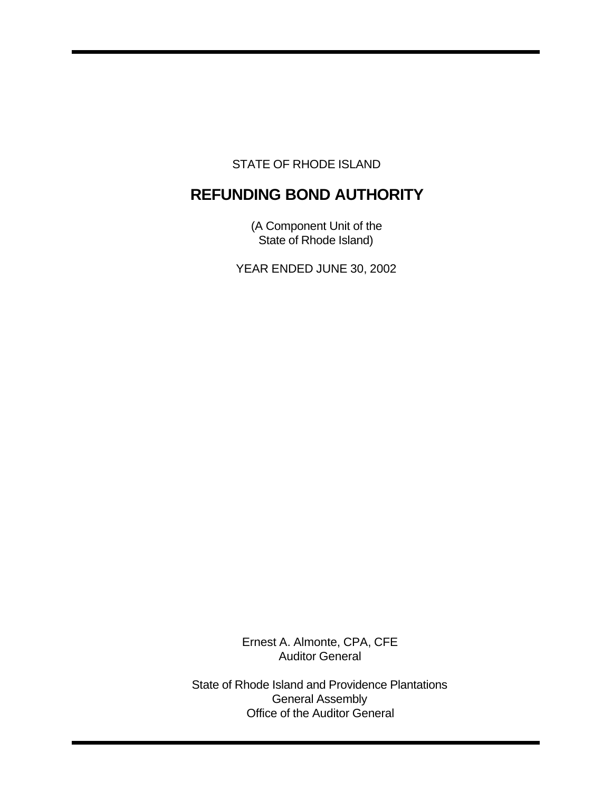STATE OF RHODE ISLAND

# **REFUNDING BOND AUTHORITY**

(A Component Unit of the State of Rhode Island)

YEAR ENDED JUNE 30, 2002

Ernest A. Almonte, CPA, CFE Auditor General

State of Rhode Island and Providence Plantations General Assembly Office of the Auditor General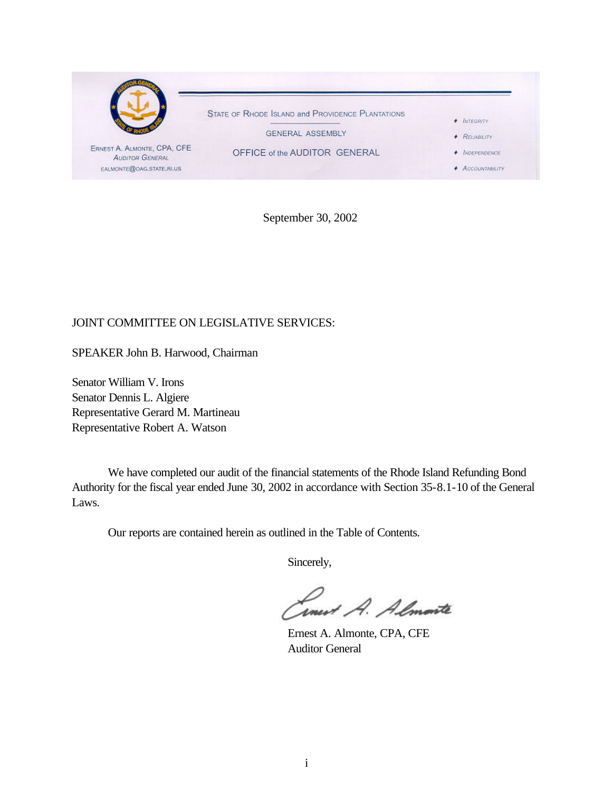

September 30, 2002

# JOINT COMMITTEE ON LEGISLATIVE SERVICES:

SPEAKER John B. Harwood, Chairman

Senator William V. Irons Senator Dennis L. Algiere Representative Gerard M. Martineau Representative Robert A. Watson

We have completed our audit of the financial statements of the Rhode Island Refunding Bond Authority for the fiscal year ended June 30, 2002 in accordance with Section 35-8.1-10 of the General Laws.

Our reports are contained herein as outlined in the Table of Contents.

Sincerely,

Smert A. Almonte

Ernest A. Almonte, CPA, CFE Auditor General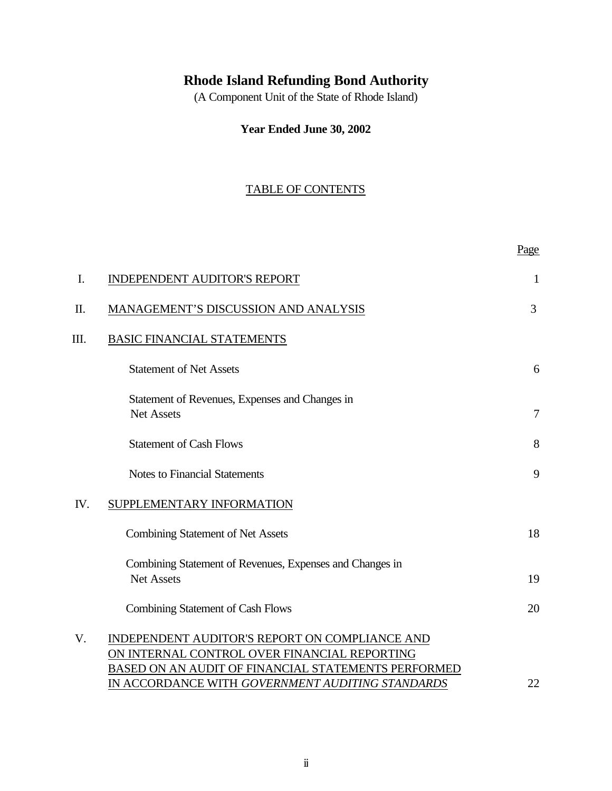# **Rhode Island Refunding Bond Authority**

(A Component Unit of the State of Rhode Island)

# **Year Ended June 30, 2002**

# TABLE OF CONTENTS

Page

| I.  | <b>INDEPENDENT AUDITOR'S REPORT</b>                                                                                                                                                                       | 1              |
|-----|-----------------------------------------------------------------------------------------------------------------------------------------------------------------------------------------------------------|----------------|
| II. | MANAGEMENT'S DISCUSSION AND ANALYSIS                                                                                                                                                                      | 3              |
| Ш.  | <b>BASIC FINANCIAL STATEMENTS</b>                                                                                                                                                                         |                |
|     | <b>Statement of Net Assets</b>                                                                                                                                                                            | 6              |
|     | Statement of Revenues, Expenses and Changes in<br><b>Net Assets</b>                                                                                                                                       | $\overline{7}$ |
|     | <b>Statement of Cash Flows</b>                                                                                                                                                                            | 8              |
|     | <b>Notes to Financial Statements</b>                                                                                                                                                                      | 9              |
| IV. | SUPPLEMENTARY INFORMATION                                                                                                                                                                                 |                |
|     | <b>Combining Statement of Net Assets</b>                                                                                                                                                                  | 18             |
|     | Combining Statement of Revenues, Expenses and Changes in<br><b>Net Assets</b>                                                                                                                             | 19             |
|     | Combining Statement of Cash Flows                                                                                                                                                                         | 20             |
| V.  | INDEPENDENT AUDITOR'S REPORT ON COMPLIANCE AND<br>ON INTERNAL CONTROL OVER FINANCIAL REPORTING<br>BASED ON AN AUDIT OF FINANCIAL STATEMENTS PERFORMED<br>IN ACCORDANCE WITH GOVERNMENT AUDITING STANDARDS | 22             |
|     |                                                                                                                                                                                                           |                |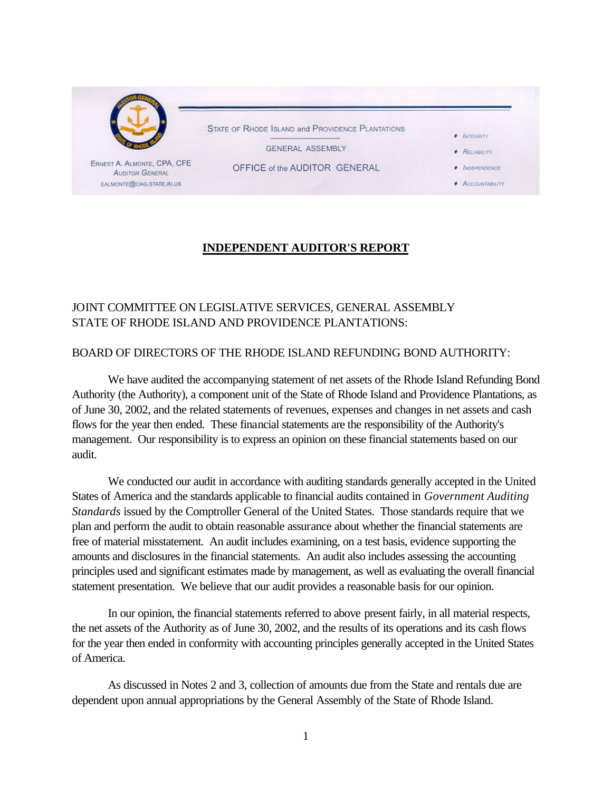

# **INDEPENDENT AUDITOR'S REPORT**

# JOINT COMMITTEE ON LEGISLATIVE SERVICES, GENERAL ASSEMBLY STATE OF RHODE ISLAND AND PROVIDENCE PLANTATIONS:

## BOARD OF DIRECTORS OF THE RHODE ISLAND REFUNDING BOND AUTHORITY:

We have audited the accompanying statement of net assets of the Rhode Island Refunding Bond Authority (the Authority), a component unit of the State of Rhode Island and Providence Plantations, as of June 30, 2002, and the related statements of revenues, expenses and changes in net assets and cash flows for the year then ended. These financial statements are the responsibility of the Authority's management. Our responsibility is to express an opinion on these financial statements based on our audit.

We conducted our audit in accordance with auditing standards generally accepted in the United States of America and the standards applicable to financial audits contained in *Government Auditing Standards* issued by the Comptroller General of the United States. Those standards require that we plan and perform the audit to obtain reasonable assurance about whether the financial statements are free of material misstatement. An audit includes examining, on a test basis, evidence supporting the amounts and disclosures in the financial statements. An audit also includes assessing the accounting principles used and significant estimates made by management, as well as evaluating the overall financial statement presentation. We believe that our audit provides a reasonable basis for our opinion.

In our opinion, the financial statements referred to above present fairly, in all material respects, the net assets of the Authority as of June 30, 2002, and the results of its operations and its cash flows for the year then ended in conformity with accounting principles generally accepted in the United States of America.

As discussed in Notes 2 and 3, collection of amounts due from the State and rentals due are dependent upon annual appropriations by the General Assembly of the State of Rhode Island.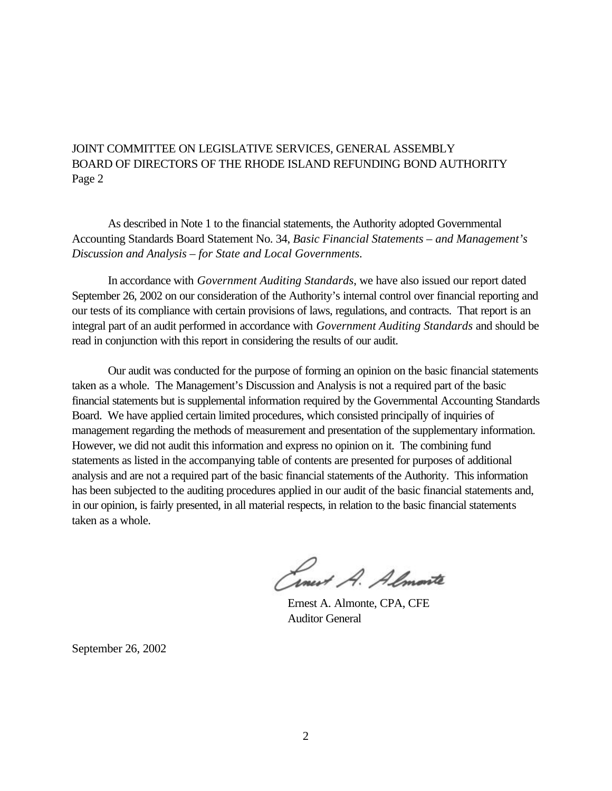# JOINT COMMITTEE ON LEGISLATIVE SERVICES, GENERAL ASSEMBLY BOARD OF DIRECTORS OF THE RHODE ISLAND REFUNDING BOND AUTHORITY Page 2

As described in Note 1 to the financial statements, the Authority adopted Governmental Accounting Standards Board Statement No. 34, *Basic Financial Statements – and Management's Discussion and Analysis – for State and Local Governments.* 

In accordance with *Government Auditing Standards*, we have also issued our report dated September 26, 2002 on our consideration of the Authority's internal control over financial reporting and our tests of its compliance with certain provisions of laws, regulations, and contracts. That report is an integral part of an audit performed in accordance with *Government Auditing Standards* and should be read in conjunction with this report in considering the results of our audit.

Our audit was conducted for the purpose of forming an opinion on the basic financial statements taken as a whole. The Management's Discussion and Analysis is not a required part of the basic financial statements but is supplemental information required by the Governmental Accounting Standards Board. We have applied certain limited procedures, which consisted principally of inquiries of management regarding the methods of measurement and presentation of the supplementary information. However, we did not audit this information and express no opinion on it. The combining fund statements as listed in the accompanying table of contents are presented for purposes of additional analysis and are not a required part of the basic financial statements of the Authority. This information has been subjected to the auditing procedures applied in our audit of the basic financial statements and, in our opinion, is fairly presented, in all material respects, in relation to the basic financial statements taken as a whole.

Cinet A. Almonte

Ernest A. Almonte, CPA, CFE Auditor General

September 26, 2002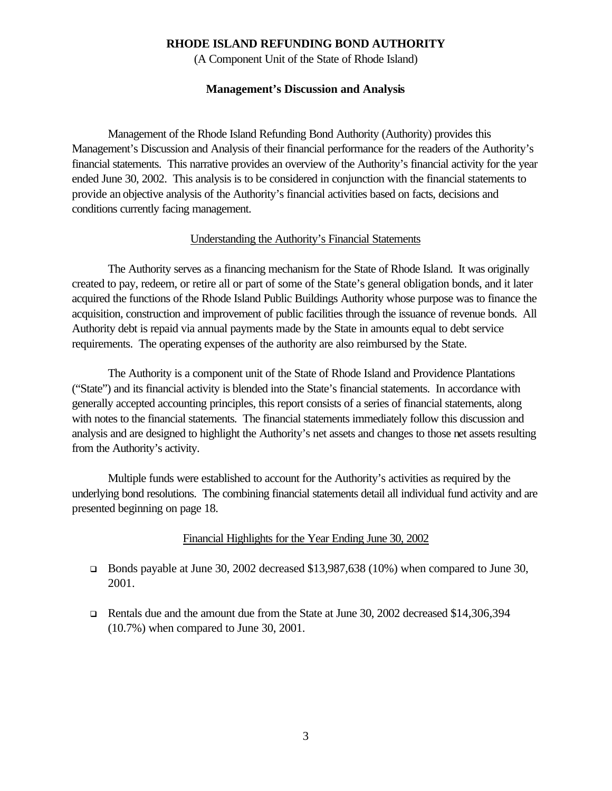(A Component Unit of the State of Rhode Island)

#### **Management's Discussion and Analysis**

Management of the Rhode Island Refunding Bond Authority (Authority) provides this Management's Discussion and Analysis of their financial performance for the readers of the Authority's financial statements. This narrative provides an overview of the Authority's financial activity for the year ended June 30, 2002. This analysis is to be considered in conjunction with the financial statements to provide an objective analysis of the Authority's financial activities based on facts, decisions and conditions currently facing management.

#### Understanding the Authority's Financial Statements

The Authority serves as a financing mechanism for the State of Rhode Island. It was originally created to pay, redeem, or retire all or part of some of the State's general obligation bonds, and it later acquired the functions of the Rhode Island Public Buildings Authority whose purpose was to finance the acquisition, construction and improvement of public facilities through the issuance of revenue bonds. All Authority debt is repaid via annual payments made by the State in amounts equal to debt service requirements. The operating expenses of the authority are also reimbursed by the State.

The Authority is a component unit of the State of Rhode Island and Providence Plantations ("State") and its financial activity is blended into the State's financial statements. In accordance with generally accepted accounting principles, this report consists of a series of financial statements, along with notes to the financial statements. The financial statements immediately follow this discussion and analysis and are designed to highlight the Authority's net assets and changes to those net assets resulting from the Authority's activity.

Multiple funds were established to account for the Authority's activities as required by the underlying bond resolutions. The combining financial statements detail all individual fund activity and are presented beginning on page 18.

#### Financial Highlights for the Year Ending June 30, 2002

- **EXECUTE:** Bonds payable at June 30, 2002 decreased \$13,987,638 (10%) when compared to June 30, 2001.
- <sup>q</sup> Rentals due and the amount due from the State at June 30, 2002 decreased \$14,306,394 (10.7%) when compared to June 30, 2001.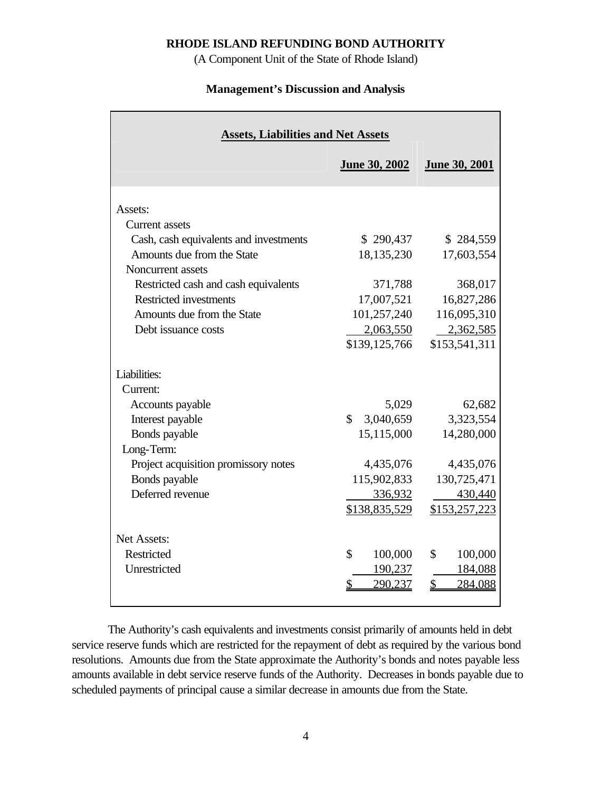(A Component Unit of the State of Rhode Island)

#### **Management's Discussion and Analysis**

| <b>Assets, Liabilities and Net Assets</b>                                                                                                                                                                                                            |                                                                                                                 |                                                                                                            |  |  |  |  |  |  |  |  |
|------------------------------------------------------------------------------------------------------------------------------------------------------------------------------------------------------------------------------------------------------|-----------------------------------------------------------------------------------------------------------------|------------------------------------------------------------------------------------------------------------|--|--|--|--|--|--|--|--|
|                                                                                                                                                                                                                                                      | <b>June 30, 2002</b>                                                                                            | <b>June 30, 2001</b>                                                                                       |  |  |  |  |  |  |  |  |
| Assets:<br>Current assets<br>Cash, cash equivalents and investments<br>Amounts due from the State<br>Noncurrent assets<br>Restricted cash and cash equivalents<br><b>Restricted investments</b><br>Amounts due from the State<br>Debt issuance costs | \$290,437<br>18,135,230<br>371,788<br>17,007,521<br>101,257,240<br>2,063,550                                    | \$284,559<br>17,603,554<br>368,017<br>16,827,286<br>116,095,310<br>2,362,585                               |  |  |  |  |  |  |  |  |
| Liabilities:<br>Current:<br>Accounts payable<br>Interest payable<br>Bonds payable<br>Long-Term:<br>Project acquisition promissory notes<br>Bonds payable<br>Deferred revenue                                                                         | \$139,125,766<br>5,029<br>\$<br>3,040,659<br>15,115,000<br>4,435,076<br>115,902,833<br>336,932<br>\$138,835,529 | \$153,541,311<br>62,682<br>3,323,554<br>14,280,000<br>4,435,076<br>130,725,471<br>430,440<br>\$153,257,223 |  |  |  |  |  |  |  |  |
| <b>Net Assets:</b><br>Restricted<br>Unrestricted                                                                                                                                                                                                     | \$<br>100,000<br>190,237<br>290,237<br>S                                                                        | 100,000<br>\$<br>184,088<br>$\mathcal{S}$<br>284,088                                                       |  |  |  |  |  |  |  |  |

The Authority's cash equivalents and investments consist primarily of amounts held in debt service reserve funds which are restricted for the repayment of debt as required by the various bond resolutions. Amounts due from the State approximate the Authority's bonds and notes payable less amounts available in debt service reserve funds of the Authority. Decreases in bonds payable due to scheduled payments of principal cause a similar decrease in amounts due from the State.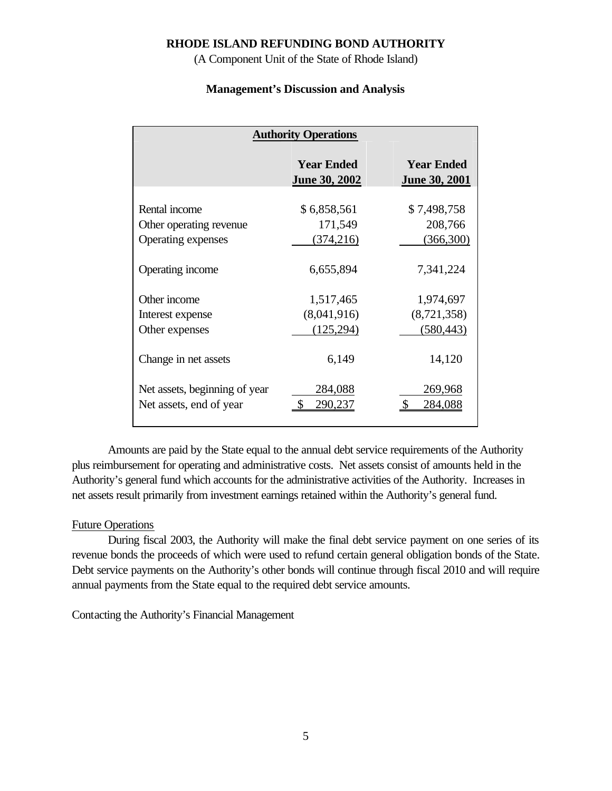(A Component Unit of the State of Rhode Island)

# **Management's Discussion and Analysis**

| <b>Authority Operations</b>                              |                                           |                                           |  |  |  |  |  |  |
|----------------------------------------------------------|-------------------------------------------|-------------------------------------------|--|--|--|--|--|--|
|                                                          | <b>Year Ended</b><br><b>June 30, 2002</b> | <b>Year Ended</b><br><b>June 30, 2001</b> |  |  |  |  |  |  |
| Rental income<br>Other operating revenue                 | \$6,858,561<br>171,549                    | \$7,498,758<br>208,766                    |  |  |  |  |  |  |
| <b>Operating expenses</b>                                | (374, 216)                                | (366,300)                                 |  |  |  |  |  |  |
| Operating income                                         | 6,655,894                                 | 7,341,224                                 |  |  |  |  |  |  |
| Other income                                             | 1,517,465                                 | 1,974,697                                 |  |  |  |  |  |  |
| Interest expense                                         | (8,041,916)                               | (8,721,358)                               |  |  |  |  |  |  |
| Other expenses                                           | (125, 294)                                | (580, 443)                                |  |  |  |  |  |  |
| Change in net assets                                     | 6,149                                     | 14,120                                    |  |  |  |  |  |  |
| Net assets, beginning of year<br>Net assets, end of year | 284,088<br>290.237                        | 269,968<br>284,088                        |  |  |  |  |  |  |

Amounts are paid by the State equal to the annual debt service requirements of the Authority plus reimbursement for operating and administrative costs. Net assets consist of amounts held in the Authority's general fund which accounts for the administrative activities of the Authority. Increases in net assets result primarily from investment earnings retained within the Authority's general fund.

## Future Operations

During fiscal 2003, the Authority will make the final debt service payment on one series of its revenue bonds the proceeds of which were used to refund certain general obligation bonds of the State. Debt service payments on the Authority's other bonds will continue through fiscal 2010 and will require annual payments from the State equal to the required debt service amounts.

Contacting the Authority's Financial Management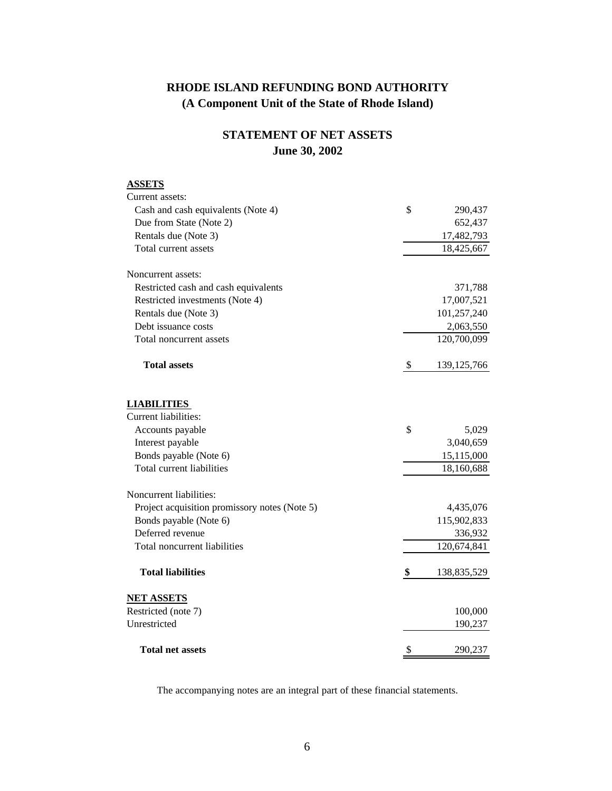# **RHODE ISLAND REFUNDING BOND AUTHORITY (A Component Unit of the State of Rhode Island)**

# **STATEMENT OF NET ASSETS June 30, 2002**

# **ASSETS** Current assets: Cash and cash equivalents (Note 4)  $\qquad$  8 290,437 Due from State (Note 2) 652,437 Rentals due (Note 3) 17,482,793 Total current assets 18,425,667 Noncurrent assets: Restricted cash and cash equivalents 371,788 Restricted investments (Note 4) 17,007,521 Rentals due (Note 3) 101,257,240 Debt issuance costs 2,063,550 Total noncurrent assets 120,700,099 **Total assets** \$ 139,125,766 **LIABILITIES**  Current liabilities: Accounts payable  $\qquad \qquad$  5,029 Interest payable 3,040,659 Bonds payable (Note 6) 15,115,000 Total current liabilities 18,160,688 Noncurrent liabilities: Project acquisition promissory notes (Note 5) 4,435,076 Bonds payable (Note 6) 115,902,833 Deferred revenue 336,932 Total noncurrent liabilities 120,674,841  **Total liabilities \$** 138,835,529 **NET ASSETS** Restricted (note 7) 100,000 Unrestricted 190,237 **Total net assets** \$ 290,237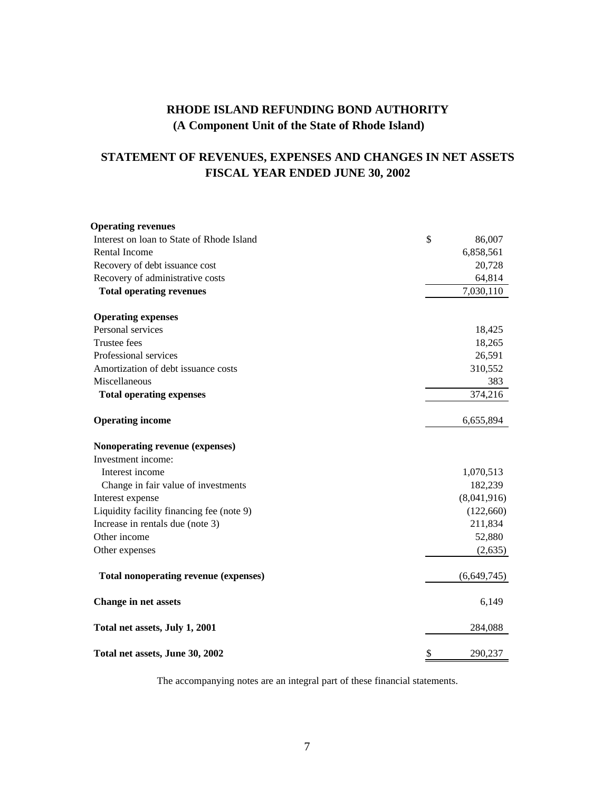# **RHODE ISLAND REFUNDING BOND AUTHORITY (A Component Unit of the State of Rhode Island)**

# **STATEMENT OF REVENUES, EXPENSES AND CHANGES IN NET ASSETS FISCAL YEAR ENDED JUNE 30, 2002**

| <b>Operating revenues</b>                    |               |
|----------------------------------------------|---------------|
| Interest on loan to State of Rhode Island    | \$<br>86,007  |
| Rental Income                                | 6,858,561     |
| Recovery of debt issuance cost               | 20,728        |
| Recovery of administrative costs             | 64,814        |
| <b>Total operating revenues</b>              | 7,030,110     |
| <b>Operating expenses</b>                    |               |
| Personal services                            | 18,425        |
| <b>Trustee fees</b>                          | 18,265        |
| Professional services                        | 26,591        |
| Amortization of debt issuance costs          | 310,552       |
| Miscellaneous                                | 383           |
| <b>Total operating expenses</b>              | 374,216       |
| <b>Operating income</b>                      | 6,655,894     |
| Nonoperating revenue (expenses)              |               |
| Investment income:                           |               |
| Interest income                              | 1,070,513     |
| Change in fair value of investments          | 182,239       |
| Interest expense                             | (8,041,916)   |
| Liquidity facility financing fee (note 9)    | (122, 660)    |
| Increase in rentals due (note 3)             | 211,834       |
| Other income                                 | 52,880        |
| Other expenses                               | (2,635)       |
| <b>Total nonoperating revenue (expenses)</b> | (6,649,745)   |
| <b>Change in net assets</b>                  | 6,149         |
| Total net assets, July 1, 2001               | 284,088       |
| Total net assets, June 30, 2002              | \$<br>290,237 |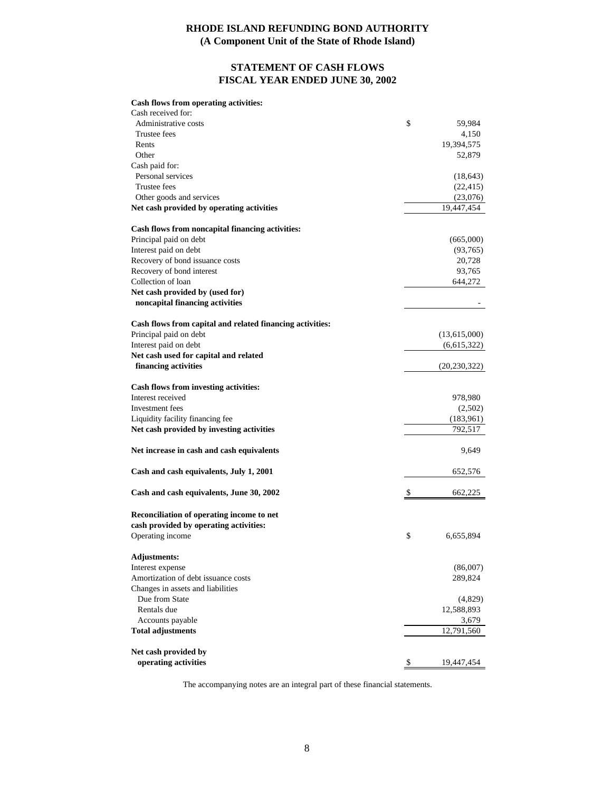#### **RHODE ISLAND REFUNDING BOND AUTHORITY (A Component Unit of the State of Rhode Island)**

# **STATEMENT OF CASH FLOWS FISCAL YEAR ENDED JUNE 30, 2002**

# **Cash flows from operating activities:**

| Administrative costs<br>\$<br>59,984<br>Trustee fees<br>4,150<br>19,394,575<br>Rents<br>Other<br>52,879<br>Cash paid for:<br>Personal services<br>Trustee fees<br>(22, 415)<br>Other goods and services<br>(23,076)<br>Net cash provided by operating activities<br>19,447,454<br>Cash flows from noncapital financing activities:<br>Principal paid on debt<br>(665,000)<br>Interest paid on debt<br>Recovery of bond issuance costs<br>20,728<br>Recovery of bond interest<br>93,765<br>Collection of loan<br>644,272<br>Net cash provided by (used for)<br>noncapital financing activities<br>Cash flows from capital and related financing activities:<br>Principal paid on debt<br>(13,615,000)<br>Interest paid on debt<br>Net cash used for capital and related<br>financing activities<br>Cash flows from investing activities:<br>Interest received<br>978,980<br>Investment fees<br>Liquidity facility financing fee<br>Net cash provided by investing activities<br>792,517<br>Net increase in cash and cash equivalents<br>9,649<br>Cash and cash equivalents, July 1, 2001<br>652,576<br>Cash and cash equivalents, June 30, 2002<br>662,225<br>Reconciliation of operating income to net<br>cash provided by operating activities:<br>Operating income<br>\$<br>6,655,894<br>Adjustments:<br>Interest expense<br>(86,007)<br>Amortization of debt issuance costs<br>289,824<br>Changes in assets and liabilities<br>Due from State<br>Rentals due<br>12,588,893<br>Accounts payable<br>3,679<br><b>Total adjustments</b><br>12,791,560<br>Net cash provided by<br>operating activities<br>\$<br>19,447,454 | Cash received for: |                |
|--------------------------------------------------------------------------------------------------------------------------------------------------------------------------------------------------------------------------------------------------------------------------------------------------------------------------------------------------------------------------------------------------------------------------------------------------------------------------------------------------------------------------------------------------------------------------------------------------------------------------------------------------------------------------------------------------------------------------------------------------------------------------------------------------------------------------------------------------------------------------------------------------------------------------------------------------------------------------------------------------------------------------------------------------------------------------------------------------------------------------------------------------------------------------------------------------------------------------------------------------------------------------------------------------------------------------------------------------------------------------------------------------------------------------------------------------------------------------------------------------------------------------------------------------------------------------------------------------------------------------|--------------------|----------------|
|                                                                                                                                                                                                                                                                                                                                                                                                                                                                                                                                                                                                                                                                                                                                                                                                                                                                                                                                                                                                                                                                                                                                                                                                                                                                                                                                                                                                                                                                                                                                                                                                                          |                    |                |
|                                                                                                                                                                                                                                                                                                                                                                                                                                                                                                                                                                                                                                                                                                                                                                                                                                                                                                                                                                                                                                                                                                                                                                                                                                                                                                                                                                                                                                                                                                                                                                                                                          |                    |                |
|                                                                                                                                                                                                                                                                                                                                                                                                                                                                                                                                                                                                                                                                                                                                                                                                                                                                                                                                                                                                                                                                                                                                                                                                                                                                                                                                                                                                                                                                                                                                                                                                                          |                    |                |
|                                                                                                                                                                                                                                                                                                                                                                                                                                                                                                                                                                                                                                                                                                                                                                                                                                                                                                                                                                                                                                                                                                                                                                                                                                                                                                                                                                                                                                                                                                                                                                                                                          |                    |                |
|                                                                                                                                                                                                                                                                                                                                                                                                                                                                                                                                                                                                                                                                                                                                                                                                                                                                                                                                                                                                                                                                                                                                                                                                                                                                                                                                                                                                                                                                                                                                                                                                                          |                    |                |
|                                                                                                                                                                                                                                                                                                                                                                                                                                                                                                                                                                                                                                                                                                                                                                                                                                                                                                                                                                                                                                                                                                                                                                                                                                                                                                                                                                                                                                                                                                                                                                                                                          |                    | (18, 643)      |
|                                                                                                                                                                                                                                                                                                                                                                                                                                                                                                                                                                                                                                                                                                                                                                                                                                                                                                                                                                                                                                                                                                                                                                                                                                                                                                                                                                                                                                                                                                                                                                                                                          |                    |                |
|                                                                                                                                                                                                                                                                                                                                                                                                                                                                                                                                                                                                                                                                                                                                                                                                                                                                                                                                                                                                                                                                                                                                                                                                                                                                                                                                                                                                                                                                                                                                                                                                                          |                    |                |
|                                                                                                                                                                                                                                                                                                                                                                                                                                                                                                                                                                                                                                                                                                                                                                                                                                                                                                                                                                                                                                                                                                                                                                                                                                                                                                                                                                                                                                                                                                                                                                                                                          |                    |                |
|                                                                                                                                                                                                                                                                                                                                                                                                                                                                                                                                                                                                                                                                                                                                                                                                                                                                                                                                                                                                                                                                                                                                                                                                                                                                                                                                                                                                                                                                                                                                                                                                                          |                    |                |
|                                                                                                                                                                                                                                                                                                                                                                                                                                                                                                                                                                                                                                                                                                                                                                                                                                                                                                                                                                                                                                                                                                                                                                                                                                                                                                                                                                                                                                                                                                                                                                                                                          |                    |                |
|                                                                                                                                                                                                                                                                                                                                                                                                                                                                                                                                                                                                                                                                                                                                                                                                                                                                                                                                                                                                                                                                                                                                                                                                                                                                                                                                                                                                                                                                                                                                                                                                                          |                    | (93,765)       |
|                                                                                                                                                                                                                                                                                                                                                                                                                                                                                                                                                                                                                                                                                                                                                                                                                                                                                                                                                                                                                                                                                                                                                                                                                                                                                                                                                                                                                                                                                                                                                                                                                          |                    |                |
|                                                                                                                                                                                                                                                                                                                                                                                                                                                                                                                                                                                                                                                                                                                                                                                                                                                                                                                                                                                                                                                                                                                                                                                                                                                                                                                                                                                                                                                                                                                                                                                                                          |                    |                |
|                                                                                                                                                                                                                                                                                                                                                                                                                                                                                                                                                                                                                                                                                                                                                                                                                                                                                                                                                                                                                                                                                                                                                                                                                                                                                                                                                                                                                                                                                                                                                                                                                          |                    |                |
|                                                                                                                                                                                                                                                                                                                                                                                                                                                                                                                                                                                                                                                                                                                                                                                                                                                                                                                                                                                                                                                                                                                                                                                                                                                                                                                                                                                                                                                                                                                                                                                                                          |                    |                |
|                                                                                                                                                                                                                                                                                                                                                                                                                                                                                                                                                                                                                                                                                                                                                                                                                                                                                                                                                                                                                                                                                                                                                                                                                                                                                                                                                                                                                                                                                                                                                                                                                          |                    |                |
|                                                                                                                                                                                                                                                                                                                                                                                                                                                                                                                                                                                                                                                                                                                                                                                                                                                                                                                                                                                                                                                                                                                                                                                                                                                                                                                                                                                                                                                                                                                                                                                                                          |                    |                |
|                                                                                                                                                                                                                                                                                                                                                                                                                                                                                                                                                                                                                                                                                                                                                                                                                                                                                                                                                                                                                                                                                                                                                                                                                                                                                                                                                                                                                                                                                                                                                                                                                          |                    |                |
|                                                                                                                                                                                                                                                                                                                                                                                                                                                                                                                                                                                                                                                                                                                                                                                                                                                                                                                                                                                                                                                                                                                                                                                                                                                                                                                                                                                                                                                                                                                                                                                                                          |                    | (6,615,322)    |
|                                                                                                                                                                                                                                                                                                                                                                                                                                                                                                                                                                                                                                                                                                                                                                                                                                                                                                                                                                                                                                                                                                                                                                                                                                                                                                                                                                                                                                                                                                                                                                                                                          |                    |                |
|                                                                                                                                                                                                                                                                                                                                                                                                                                                                                                                                                                                                                                                                                                                                                                                                                                                                                                                                                                                                                                                                                                                                                                                                                                                                                                                                                                                                                                                                                                                                                                                                                          |                    | (20, 230, 322) |
|                                                                                                                                                                                                                                                                                                                                                                                                                                                                                                                                                                                                                                                                                                                                                                                                                                                                                                                                                                                                                                                                                                                                                                                                                                                                                                                                                                                                                                                                                                                                                                                                                          |                    |                |
|                                                                                                                                                                                                                                                                                                                                                                                                                                                                                                                                                                                                                                                                                                                                                                                                                                                                                                                                                                                                                                                                                                                                                                                                                                                                                                                                                                                                                                                                                                                                                                                                                          |                    |                |
|                                                                                                                                                                                                                                                                                                                                                                                                                                                                                                                                                                                                                                                                                                                                                                                                                                                                                                                                                                                                                                                                                                                                                                                                                                                                                                                                                                                                                                                                                                                                                                                                                          |                    | (2,502)        |
|                                                                                                                                                                                                                                                                                                                                                                                                                                                                                                                                                                                                                                                                                                                                                                                                                                                                                                                                                                                                                                                                                                                                                                                                                                                                                                                                                                                                                                                                                                                                                                                                                          |                    | (183, 961)     |
|                                                                                                                                                                                                                                                                                                                                                                                                                                                                                                                                                                                                                                                                                                                                                                                                                                                                                                                                                                                                                                                                                                                                                                                                                                                                                                                                                                                                                                                                                                                                                                                                                          |                    |                |
|                                                                                                                                                                                                                                                                                                                                                                                                                                                                                                                                                                                                                                                                                                                                                                                                                                                                                                                                                                                                                                                                                                                                                                                                                                                                                                                                                                                                                                                                                                                                                                                                                          |                    |                |
|                                                                                                                                                                                                                                                                                                                                                                                                                                                                                                                                                                                                                                                                                                                                                                                                                                                                                                                                                                                                                                                                                                                                                                                                                                                                                                                                                                                                                                                                                                                                                                                                                          |                    |                |
|                                                                                                                                                                                                                                                                                                                                                                                                                                                                                                                                                                                                                                                                                                                                                                                                                                                                                                                                                                                                                                                                                                                                                                                                                                                                                                                                                                                                                                                                                                                                                                                                                          |                    |                |
|                                                                                                                                                                                                                                                                                                                                                                                                                                                                                                                                                                                                                                                                                                                                                                                                                                                                                                                                                                                                                                                                                                                                                                                                                                                                                                                                                                                                                                                                                                                                                                                                                          |                    |                |
|                                                                                                                                                                                                                                                                                                                                                                                                                                                                                                                                                                                                                                                                                                                                                                                                                                                                                                                                                                                                                                                                                                                                                                                                                                                                                                                                                                                                                                                                                                                                                                                                                          |                    |                |
|                                                                                                                                                                                                                                                                                                                                                                                                                                                                                                                                                                                                                                                                                                                                                                                                                                                                                                                                                                                                                                                                                                                                                                                                                                                                                                                                                                                                                                                                                                                                                                                                                          |                    |                |
|                                                                                                                                                                                                                                                                                                                                                                                                                                                                                                                                                                                                                                                                                                                                                                                                                                                                                                                                                                                                                                                                                                                                                                                                                                                                                                                                                                                                                                                                                                                                                                                                                          |                    |                |
|                                                                                                                                                                                                                                                                                                                                                                                                                                                                                                                                                                                                                                                                                                                                                                                                                                                                                                                                                                                                                                                                                                                                                                                                                                                                                                                                                                                                                                                                                                                                                                                                                          |                    |                |
|                                                                                                                                                                                                                                                                                                                                                                                                                                                                                                                                                                                                                                                                                                                                                                                                                                                                                                                                                                                                                                                                                                                                                                                                                                                                                                                                                                                                                                                                                                                                                                                                                          |                    |                |
|                                                                                                                                                                                                                                                                                                                                                                                                                                                                                                                                                                                                                                                                                                                                                                                                                                                                                                                                                                                                                                                                                                                                                                                                                                                                                                                                                                                                                                                                                                                                                                                                                          |                    |                |
|                                                                                                                                                                                                                                                                                                                                                                                                                                                                                                                                                                                                                                                                                                                                                                                                                                                                                                                                                                                                                                                                                                                                                                                                                                                                                                                                                                                                                                                                                                                                                                                                                          |                    | (4,829)        |
|                                                                                                                                                                                                                                                                                                                                                                                                                                                                                                                                                                                                                                                                                                                                                                                                                                                                                                                                                                                                                                                                                                                                                                                                                                                                                                                                                                                                                                                                                                                                                                                                                          |                    |                |
|                                                                                                                                                                                                                                                                                                                                                                                                                                                                                                                                                                                                                                                                                                                                                                                                                                                                                                                                                                                                                                                                                                                                                                                                                                                                                                                                                                                                                                                                                                                                                                                                                          |                    |                |
|                                                                                                                                                                                                                                                                                                                                                                                                                                                                                                                                                                                                                                                                                                                                                                                                                                                                                                                                                                                                                                                                                                                                                                                                                                                                                                                                                                                                                                                                                                                                                                                                                          |                    |                |
|                                                                                                                                                                                                                                                                                                                                                                                                                                                                                                                                                                                                                                                                                                                                                                                                                                                                                                                                                                                                                                                                                                                                                                                                                                                                                                                                                                                                                                                                                                                                                                                                                          |                    |                |
|                                                                                                                                                                                                                                                                                                                                                                                                                                                                                                                                                                                                                                                                                                                                                                                                                                                                                                                                                                                                                                                                                                                                                                                                                                                                                                                                                                                                                                                                                                                                                                                                                          |                    |                |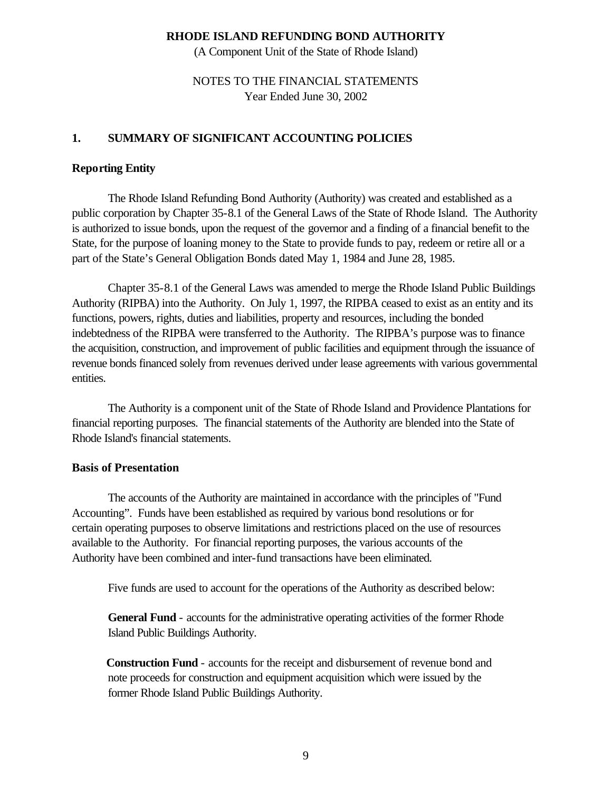(A Component Unit of the State of Rhode Island)

# NOTES TO THE FINANCIAL STATEMENTS Year Ended June 30, 2002

# **1. SUMMARY OF SIGNIFICANT ACCOUNTING POLICIES**

#### **Reporting Entity**

The Rhode Island Refunding Bond Authority (Authority) was created and established as a public corporation by Chapter 35-8.1 of the General Laws of the State of Rhode Island. The Authority is authorized to issue bonds, upon the request of the governor and a finding of a financial benefit to the State, for the purpose of loaning money to the State to provide funds to pay, redeem or retire all or a part of the State's General Obligation Bonds dated May 1, 1984 and June 28, 1985.

Chapter 35-8.1 of the General Laws was amended to merge the Rhode Island Public Buildings Authority (RIPBA) into the Authority. On July 1, 1997, the RIPBA ceased to exist as an entity and its functions, powers, rights, duties and liabilities, property and resources, including the bonded indebtedness of the RIPBA were transferred to the Authority. The RIPBA's purpose was to finance the acquisition, construction, and improvement of public facilities and equipment through the issuance of revenue bonds financed solely from revenues derived under lease agreements with various governmental entities.

The Authority is a component unit of the State of Rhode Island and Providence Plantations for financial reporting purposes. The financial statements of the Authority are blended into the State of Rhode Island's financial statements.

#### **Basis of Presentation**

The accounts of the Authority are maintained in accordance with the principles of "Fund Accounting". Funds have been established as required by various bond resolutions or for certain operating purposes to observe limitations and restrictions placed on the use of resources available to the Authority. For financial reporting purposes, the various accounts of the Authority have been combined and inter-fund transactions have been eliminated.

Five funds are used to account for the operations of the Authority as described below:

**General Fund** - accounts for the administrative operating activities of the former Rhode Island Public Buildings Authority.

 **Construction Fund** - accounts for the receipt and disbursement of revenue bond and note proceeds for construction and equipment acquisition which were issued by the former Rhode Island Public Buildings Authority.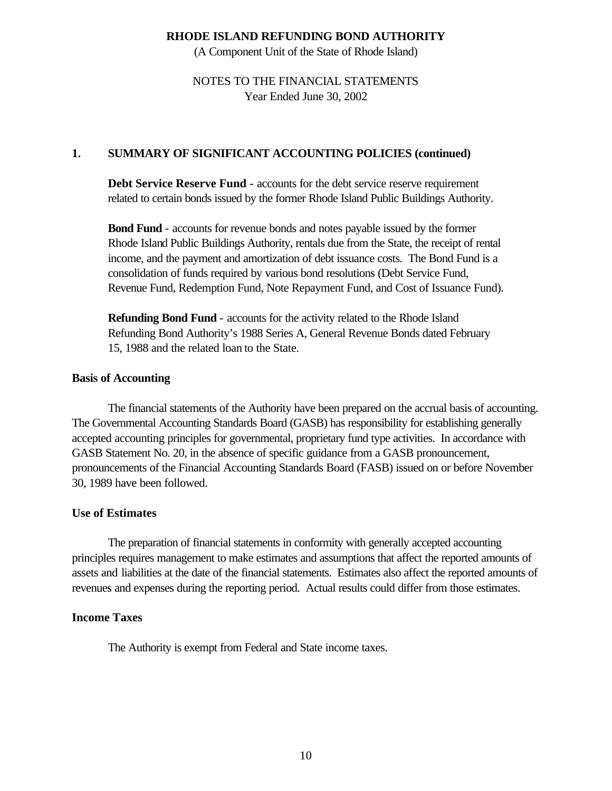(A Component Unit of the State of Rhode Island)

# NOTES TO THE FINANCIAL STATEMENTS Year Ended June 30, 2002

### **1. SUMMARY OF SIGNIFICANT ACCOUNTING POLICIES (continued)**

**Debt Service Reserve Fund** - accounts for the debt service reserve requirement related to certain bonds issued by the former Rhode Island Public Buildings Authority.

**Bond Fund** - accounts for revenue bonds and notes payable issued by the former Rhode Island Public Buildings Authority, rentals due from the State, the receipt of rental income, and the payment and amortization of debt issuance costs. The Bond Fund is a consolidation of funds required by various bond resolutions (Debt Service Fund, Revenue Fund, Redemption Fund, Note Repayment Fund, and Cost of Issuance Fund).

**Refunding Bond Fund** - accounts for the activity related to the Rhode Island Refunding Bond Authority's 1988 Series A, General Revenue Bonds dated February 15, 1988 and the related loan to the State.

#### **Basis of Accounting**

The financial statements of the Authority have been prepared on the accrual basis of accounting. The Governmental Accounting Standards Board (GASB) has responsibility for establishing generally accepted accounting principles for governmental, proprietary fund type activities. In accordance with GASB Statement No. 20, in the absence of specific guidance from a GASB pronouncement, pronouncements of the Financial Accounting Standards Board (FASB) issued on or before November 30, 1989 have been followed.

#### **Use of Estimates**

The preparation of financial statements in conformity with generally accepted accounting principles requires management to make estimates and assumptions that affect the reported amounts of assets and liabilities at the date of the financial statements. Estimates also affect the reported amounts of revenues and expenses during the reporting period. Actual results could differ from those estimates.

#### **Income Taxes**

The Authority is exempt from Federal and State income taxes.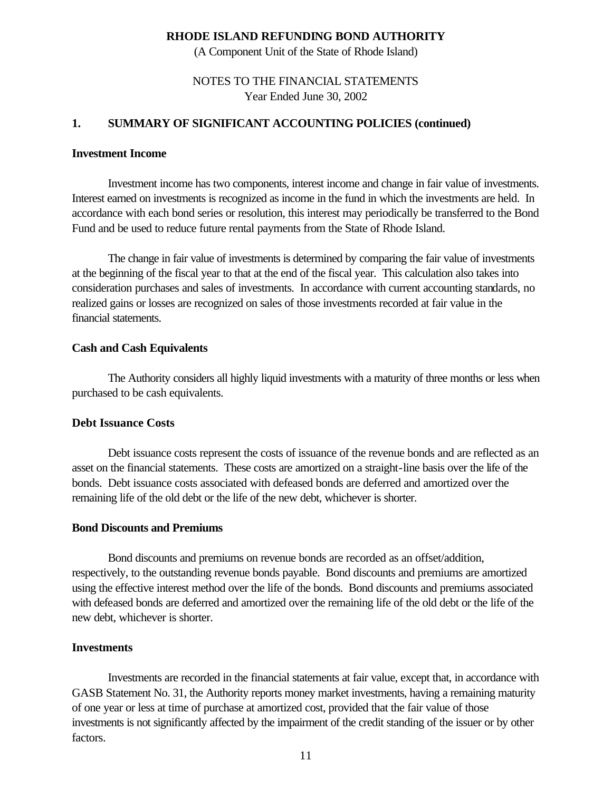(A Component Unit of the State of Rhode Island)

# NOTES TO THE FINANCIAL STATEMENTS Year Ended June 30, 2002

### **1. SUMMARY OF SIGNIFICANT ACCOUNTING POLICIES (continued)**

#### **Investment Income**

Investment income has two components, interest income and change in fair value of investments. Interest earned on investments is recognized as income in the fund in which the investments are held. In accordance with each bond series or resolution, this interest may periodically be transferred to the Bond Fund and be used to reduce future rental payments from the State of Rhode Island.

The change in fair value of investments is determined by comparing the fair value of investments at the beginning of the fiscal year to that at the end of the fiscal year. This calculation also takes into consideration purchases and sales of investments. In accordance with current accounting standards, no realized gains or losses are recognized on sales of those investments recorded at fair value in the financial statements.

#### **Cash and Cash Equivalents**

The Authority considers all highly liquid investments with a maturity of three months or less when purchased to be cash equivalents.

#### **Debt Issuance Costs**

Debt issuance costs represent the costs of issuance of the revenue bonds and are reflected as an asset on the financial statements. These costs are amortized on a straight-line basis over the life of the bonds. Debt issuance costs associated with defeased bonds are deferred and amortized over the remaining life of the old debt or the life of the new debt, whichever is shorter.

#### **Bond Discounts and Premiums**

Bond discounts and premiums on revenue bonds are recorded as an offset/addition, respectively, to the outstanding revenue bonds payable. Bond discounts and premiums are amortized using the effective interest method over the life of the bonds. Bond discounts and premiums associated with defeased bonds are deferred and amortized over the remaining life of the old debt or the life of the new debt, whichever is shorter.

#### **Investments**

Investments are recorded in the financial statements at fair value, except that, in accordance with GASB Statement No. 31, the Authority reports money market investments, having a remaining maturity of one year or less at time of purchase at amortized cost, provided that the fair value of those investments is not significantly affected by the impairment of the credit standing of the issuer or by other factors.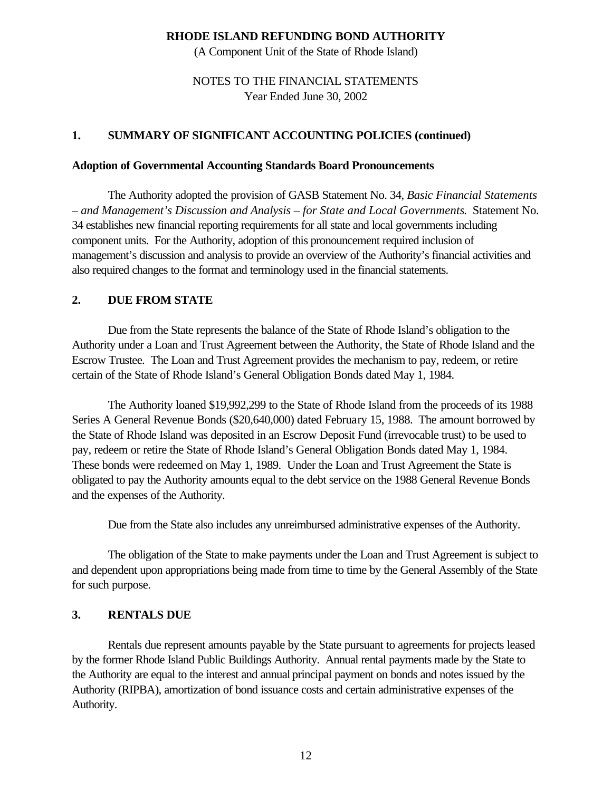(A Component Unit of the State of Rhode Island)

# NOTES TO THE FINANCIAL STATEMENTS Year Ended June 30, 2002

#### **1. SUMMARY OF SIGNIFICANT ACCOUNTING POLICIES (continued)**

#### **Adoption of Governmental Accounting Standards Board Pronouncements**

The Authority adopted the provision of GASB Statement No. 34, *Basic Financial Statements – and Management's Discussion and Analysis – for State and Local Governments*. Statement No. 34 establishes new financial reporting requirements for all state and local governments including component units. For the Authority, adoption of this pronouncement required inclusion of management's discussion and analysis to provide an overview of the Authority's financial activities and also required changes to the format and terminology used in the financial statements.

#### **2. DUE FROM STATE**

Due from the State represents the balance of the State of Rhode Island's obligation to the Authority under a Loan and Trust Agreement between the Authority, the State of Rhode Island and the Escrow Trustee. The Loan and Trust Agreement provides the mechanism to pay, redeem, or retire certain of the State of Rhode Island's General Obligation Bonds dated May 1, 1984.

The Authority loaned \$19,992,299 to the State of Rhode Island from the proceeds of its 1988 Series A General Revenue Bonds (\$20,640,000) dated February 15, 1988. The amount borrowed by the State of Rhode Island was deposited in an Escrow Deposit Fund (irrevocable trust) to be used to pay, redeem or retire the State of Rhode Island's General Obligation Bonds dated May 1, 1984. These bonds were redeemed on May 1, 1989. Under the Loan and Trust Agreement the State is obligated to pay the Authority amounts equal to the debt service on the 1988 General Revenue Bonds and the expenses of the Authority.

Due from the State also includes any unreimbursed administrative expenses of the Authority.

The obligation of the State to make payments under the Loan and Trust Agreement is subject to and dependent upon appropriations being made from time to time by the General Assembly of the State for such purpose.

#### **3. RENTALS DUE**

Rentals due represent amounts payable by the State pursuant to agreements for projects leased by the former Rhode Island Public Buildings Authority. Annual rental payments made by the State to the Authority are equal to the interest and annual principal payment on bonds and notes issued by the Authority (RIPBA), amortization of bond issuance costs and certain administrative expenses of the Authority.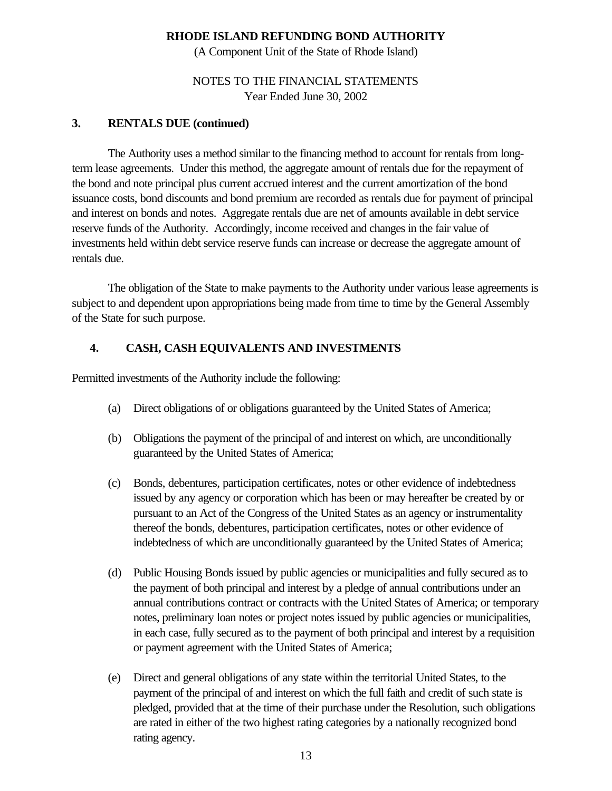(A Component Unit of the State of Rhode Island)

# NOTES TO THE FINANCIAL STATEMENTS Year Ended June 30, 2002

# **3. RENTALS DUE (continued)**

The Authority uses a method similar to the financing method to account for rentals from longterm lease agreements. Under this method, the aggregate amount of rentals due for the repayment of the bond and note principal plus current accrued interest and the current amortization of the bond issuance costs, bond discounts and bond premium are recorded as rentals due for payment of principal and interest on bonds and notes. Aggregate rentals due are net of amounts available in debt service reserve funds of the Authority. Accordingly, income received and changes in the fair value of investments held within debt service reserve funds can increase or decrease the aggregate amount of rentals due.

The obligation of the State to make payments to the Authority under various lease agreements is subject to and dependent upon appropriations being made from time to time by the General Assembly of the State for such purpose.

# **4. CASH, CASH EQUIVALENTS AND INVESTMENTS**

Permitted investments of the Authority include the following:

- (a) Direct obligations of or obligations guaranteed by the United States of America;
- (b) Obligations the payment of the principal of and interest on which, are unconditionally guaranteed by the United States of America;
- (c) Bonds, debentures, participation certificates, notes or other evidence of indebtedness issued by any agency or corporation which has been or may hereafter be created by or pursuant to an Act of the Congress of the United States as an agency or instrumentality thereof the bonds, debentures, participation certificates, notes or other evidence of indebtedness of which are unconditionally guaranteed by the United States of America;
- (d) Public Housing Bonds issued by public agencies or municipalities and fully secured as to the payment of both principal and interest by a pledge of annual contributions under an annual contributions contract or contracts with the United States of America; or temporary notes, preliminary loan notes or project notes issued by public agencies or municipalities, in each case, fully secured as to the payment of both principal and interest by a requisition or payment agreement with the United States of America;
- (e) Direct and general obligations of any state within the territorial United States, to the payment of the principal of and interest on which the full faith and credit of such state is pledged, provided that at the time of their purchase under the Resolution, such obligations are rated in either of the two highest rating categories by a nationally recognized bond rating agency.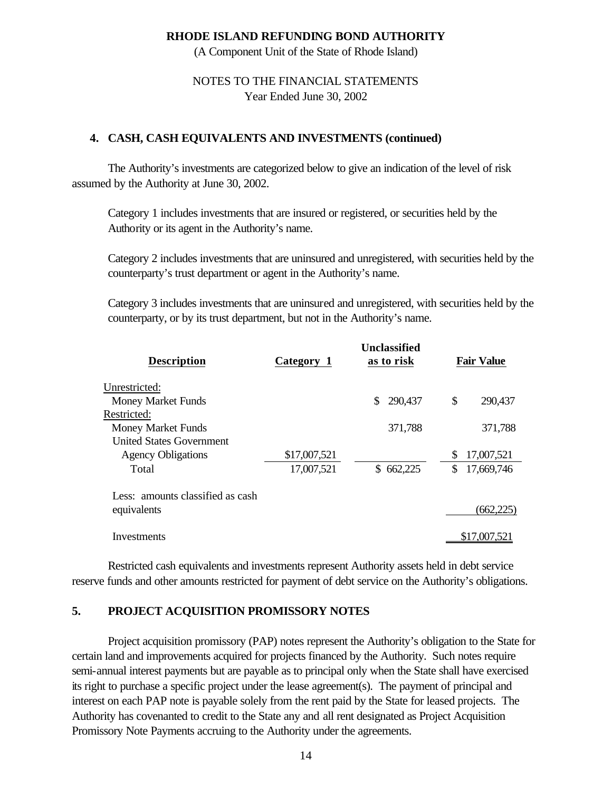(A Component Unit of the State of Rhode Island)

## NOTES TO THE FINANCIAL STATEMENTS Year Ended June 30, 2002

#### **4. CASH, CASH EQUIVALENTS AND INVESTMENTS (continued)**

The Authority's investments are categorized below to give an indication of the level of risk assumed by the Authority at June 30, 2002.

Category 1 includes investments that are insured or registered, or securities held by the Authority or its agent in the Authority's name.

Category 2 includes investments that are uninsured and unregistered, with securities held by the counterparty's trust department or agent in the Authority's name.

Category 3 includes investments that are uninsured and unregistered, with securities held by the counterparty, or by its trust department, but not in the Authority's name.

| <b>Description</b>               | Category 1   | Unclassified<br>as to risk | <b>Fair Value</b> |
|----------------------------------|--------------|----------------------------|-------------------|
| Unrestricted:                    |              |                            |                   |
| <b>Money Market Funds</b>        |              | \$<br>290,437              | \$<br>290,437     |
| Restricted:                      |              |                            |                   |
| <b>Money Market Funds</b>        |              | 371,788                    | 371,788           |
| <b>United States Government</b>  |              |                            |                   |
| <b>Agency Obligations</b>        | \$17,007,521 |                            | \$<br>17,007,521  |
| Total                            | 17,007,521   | \$662,225                  | \$<br>17,669,746  |
| Less: amounts classified as cash |              |                            |                   |
| equivalents                      |              |                            | (662, 225)        |
| Investments                      |              |                            | \$17,007,521      |
|                                  |              |                            |                   |

Restricted cash equivalents and investments represent Authority assets held in debt service reserve funds and other amounts restricted for payment of debt service on the Authority's obligations.

#### **5. PROJECT ACQUISITION PROMISSORY NOTES**

 Project acquisition promissory (PAP) notes represent the Authority's obligation to the State for certain land and improvements acquired for projects financed by the Authority. Such notes require semi-annual interest payments but are payable as to principal only when the State shall have exercised its right to purchase a specific project under the lease agreement(s). The payment of principal and interest on each PAP note is payable solely from the rent paid by the State for leased projects. The Authority has covenanted to credit to the State any and all rent designated as Project Acquisition Promissory Note Payments accruing to the Authority under the agreements.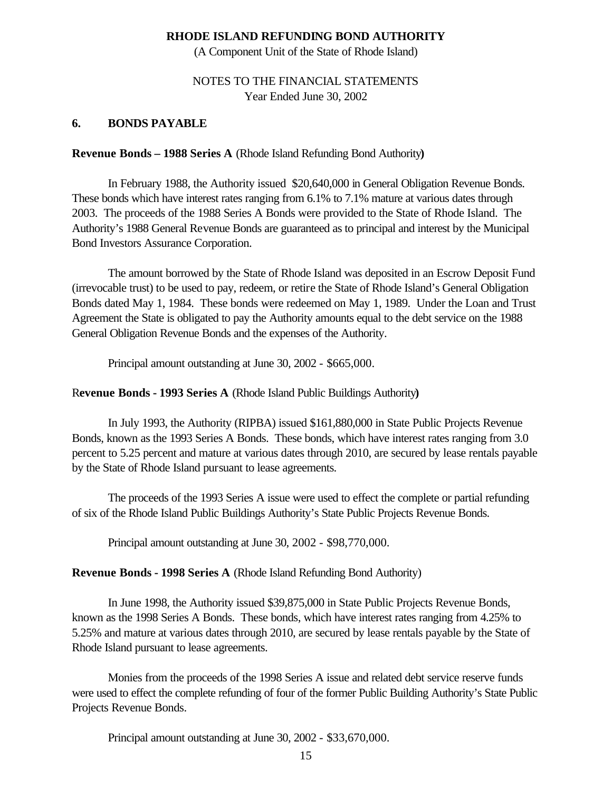(A Component Unit of the State of Rhode Island)

# NOTES TO THE FINANCIAL STATEMENTS Year Ended June 30, 2002

### **6. BONDS PAYABLE**

#### **Revenue Bonds – 1988 Series A** (Rhode Island Refunding Bond Authority**)**

In February 1988, the Authority issued \$20,640,000 in General Obligation Revenue Bonds. These bonds which have interest rates ranging from 6.1% to 7.1% mature at various dates through 2003. The proceeds of the 1988 Series A Bonds were provided to the State of Rhode Island. The Authority's 1988 General Revenue Bonds are guaranteed as to principal and interest by the Municipal Bond Investors Assurance Corporation.

The amount borrowed by the State of Rhode Island was deposited in an Escrow Deposit Fund (irrevocable trust) to be used to pay, redeem, or retire the State of Rhode Island's General Obligation Bonds dated May 1, 1984. These bonds were redeemed on May 1, 1989. Under the Loan and Trust Agreement the State is obligated to pay the Authority amounts equal to the debt service on the 1988 General Obligation Revenue Bonds and the expenses of the Authority.

Principal amount outstanding at June 30, 2002 - \$665,000.

### R**evenue Bonds - 1993 Series A** (Rhode Island Public Buildings Authority**)**

In July 1993, the Authority (RIPBA) issued \$161,880,000 in State Public Projects Revenue Bonds, known as the 1993 Series A Bonds. These bonds, which have interest rates ranging from 3.0 percent to 5.25 percent and mature at various dates through 2010, are secured by lease rentals payable by the State of Rhode Island pursuant to lease agreements.

The proceeds of the 1993 Series A issue were used to effect the complete or partial refunding of six of the Rhode Island Public Buildings Authority's State Public Projects Revenue Bonds.

Principal amount outstanding at June 30, 2002 - \$98,770,000.

## **Revenue Bonds - 1998 Series A** (Rhode Island Refunding Bond Authority)

In June 1998, the Authority issued \$39,875,000 in State Public Projects Revenue Bonds, known as the 1998 Series A Bonds. These bonds, which have interest rates ranging from 4.25% to 5.25% and mature at various dates through 2010, are secured by lease rentals payable by the State of Rhode Island pursuant to lease agreements.

Monies from the proceeds of the 1998 Series A issue and related debt service reserve funds were used to effect the complete refunding of four of the former Public Building Authority's State Public Projects Revenue Bonds.

Principal amount outstanding at June 30, 2002 - \$33,670,000.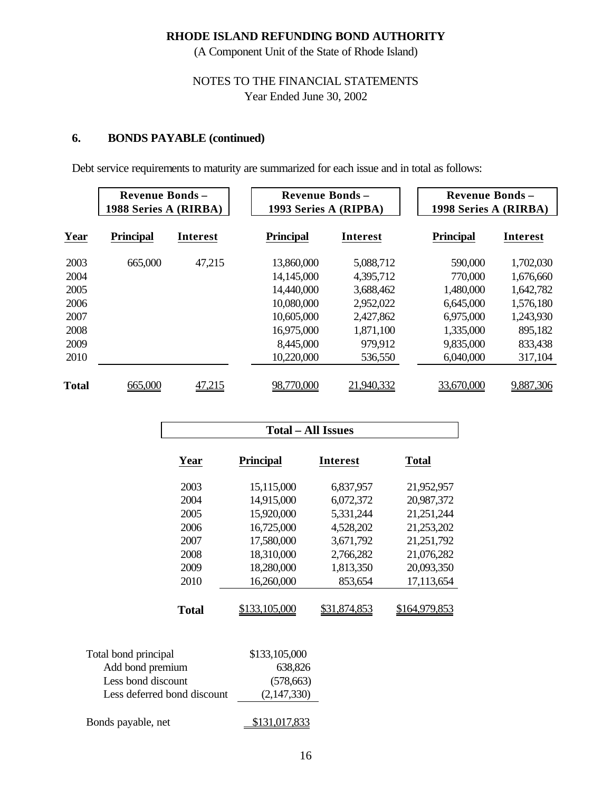(A Component Unit of the State of Rhode Island)

# NOTES TO THE FINANCIAL STATEMENTS Year Ended June 30, 2002

# **6. BONDS PAYABLE (continued)**

Debt service requirements to maturity are summarized for each issue and in total as follows:

|              | <b>Revenue Bonds -</b><br>1988 Series A (RIRBA) |                 | <b>Revenue Bonds -</b><br>1993 Series A (RIPBA) |                 | <b>Revenue Bonds -</b><br>1998 Series A (RIRBA) |                 |  |  |
|--------------|-------------------------------------------------|-----------------|-------------------------------------------------|-----------------|-------------------------------------------------|-----------------|--|--|
| Year         | <b>Principal</b>                                | <b>Interest</b> | <b>Principal</b>                                | <b>Interest</b> | <b>Principal</b>                                | <b>Interest</b> |  |  |
| 2003         | 665,000                                         | 47,215          | 13,860,000                                      | 5,088,712       | 590,000                                         | 1,702,030       |  |  |
| 2004         |                                                 |                 | 14,145,000                                      | 4,395,712       | 770,000                                         | 1,676,660       |  |  |
| 2005         |                                                 |                 | 14,440,000                                      | 3,688,462       | 1,480,000                                       | 1,642,782       |  |  |
| 2006         |                                                 |                 | 10,080,000                                      | 2,952,022       | 6,645,000                                       | 1,576,180       |  |  |
| 2007         |                                                 |                 | 10,605,000                                      | 2,427,862       | 6,975,000                                       | 1,243,930       |  |  |
| 2008         |                                                 |                 | 16,975,000                                      | 1,871,100       | 1,335,000                                       | 895,182         |  |  |
| 2009         |                                                 |                 | 8,445,000                                       | 979,912         | 9,835,000                                       | 833,438         |  |  |
| 2010         |                                                 |                 | 10,220,000                                      | 536,550         | 6,040,000                                       | 317,104         |  |  |
| <b>Total</b> | 665,000                                         | 47,215          | 98,770,000                                      | 21,940,332      | 33,670,000                                      | 9,887,306       |  |  |

|                             | <b>Total – All Issues</b> |                     |                      |  |  |  |  |  |  |  |  |
|-----------------------------|---------------------------|---------------------|----------------------|--|--|--|--|--|--|--|--|
| Year                        | <b>Principal</b>          | <b>Interest</b>     | <b>Total</b>         |  |  |  |  |  |  |  |  |
| 2003                        | 15,115,000                | 6,837,957           | 21,952,957           |  |  |  |  |  |  |  |  |
| 2004                        | 14,915,000                | 6,072,372           | 20,987,372           |  |  |  |  |  |  |  |  |
| 2005                        | 15,920,000                | 5,331,244           | 21,251,244           |  |  |  |  |  |  |  |  |
| 2006                        | 16,725,000                | 4,528,202           | 21,253,202           |  |  |  |  |  |  |  |  |
| 2007                        | 17,580,000                | 3,671,792           | 21,251,792           |  |  |  |  |  |  |  |  |
| 2008                        | 18,310,000                | 2,766,282           | 21,076,282           |  |  |  |  |  |  |  |  |
| 2009                        | 18,280,000                | 1,813,350           | 20,093,350           |  |  |  |  |  |  |  |  |
| 2010                        | 16,260,000                | 853,654             | 17,113,654           |  |  |  |  |  |  |  |  |
| <b>Total</b>                | <u>\$133,105,000</u>      | <u>\$31,874,853</u> | <u>\$164,979,853</u> |  |  |  |  |  |  |  |  |
| Total bond principal        | \$133,105,000             |                     |                      |  |  |  |  |  |  |  |  |
| Add bond premium            | 638,826                   |                     |                      |  |  |  |  |  |  |  |  |
| Less bond discount          | (578, 663)                |                     |                      |  |  |  |  |  |  |  |  |
| Less deferred bond discount | (2,147,330)               |                     |                      |  |  |  |  |  |  |  |  |

| Bonds payable, net | \$131,017,833 |
|--------------------|---------------|
|                    |               |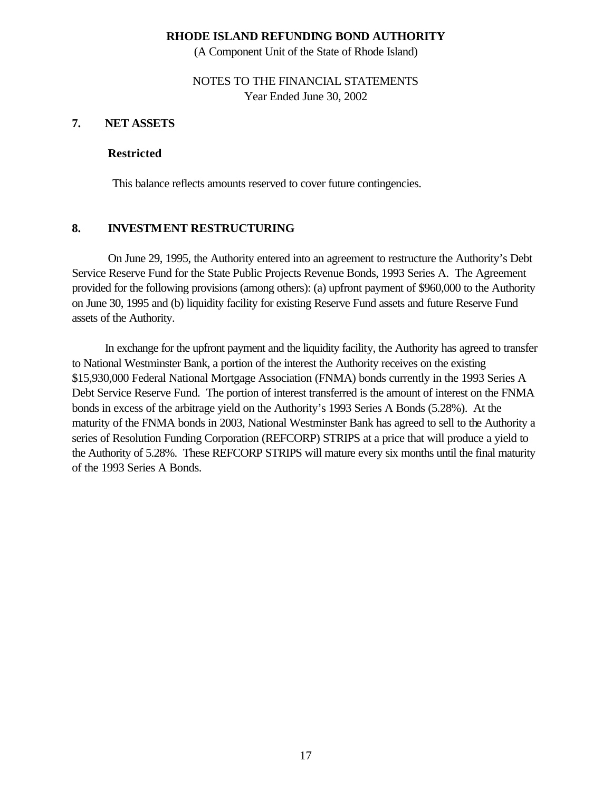(A Component Unit of the State of Rhode Island)

NOTES TO THE FINANCIAL STATEMENTS Year Ended June 30, 2002

### **7. NET ASSETS**

#### **Restricted**

This balance reflects amounts reserved to cover future contingencies.

## **8. INVESTMENT RESTRUCTURING**

On June 29, 1995, the Authority entered into an agreement to restructure the Authority's Debt Service Reserve Fund for the State Public Projects Revenue Bonds, 1993 Series A. The Agreement provided for the following provisions (among others): (a) upfront payment of \$960,000 to the Authority on June 30, 1995 and (b) liquidity facility for existing Reserve Fund assets and future Reserve Fund assets of the Authority.

 In exchange for the upfront payment and the liquidity facility, the Authority has agreed to transfer to National Westminster Bank, a portion of the interest the Authority receives on the existing \$15,930,000 Federal National Mortgage Association (FNMA) bonds currently in the 1993 Series A Debt Service Reserve Fund. The portion of interest transferred is the amount of interest on the FNMA bonds in excess of the arbitrage yield on the Authority's 1993 Series A Bonds (5.28%). At the maturity of the FNMA bonds in 2003, National Westminster Bank has agreed to sell to the Authority a series of Resolution Funding Corporation (REFCORP) STRIPS at a price that will produce a yield to the Authority of 5.28%. These REFCORP STRIPS will mature every six months until the final maturity of the 1993 Series A Bonds.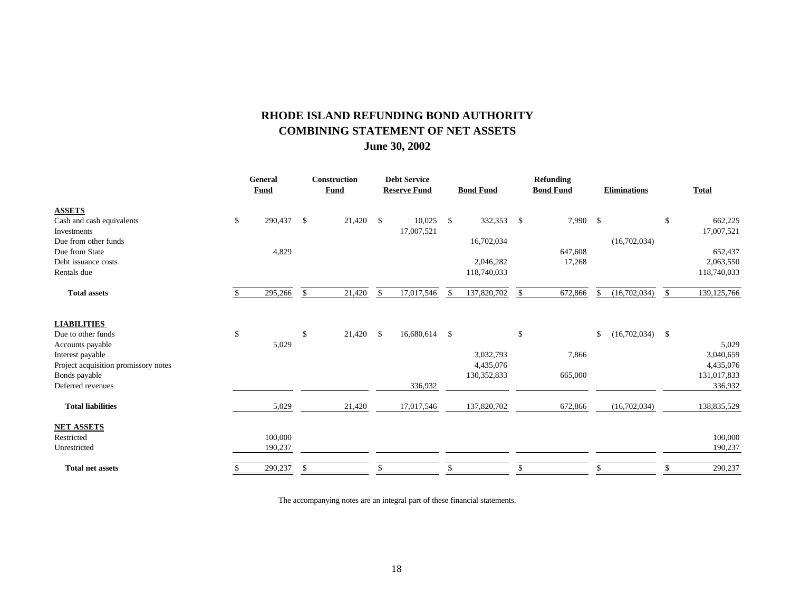# **RHODE ISLAND REFUNDING BOND AUTHORITY COMBINING STATEMENT OF NET ASSETS June 30, 2002**

| General     | Construction   |             | <b>Debt Service</b> |            |                                |               |                                                                          | <b>Refunding</b> |                  |              |                     |                   |
|-------------|----------------|-------------|---------------------|------------|--------------------------------|---------------|--------------------------------------------------------------------------|------------------|------------------|--------------|---------------------|-------------------|
| <b>Fund</b> |                | <b>Fund</b> |                     |            |                                |               |                                                                          | <b>Bond Fund</b> |                  |              |                     | <b>Total</b>      |
|             |                |             |                     |            |                                |               |                                                                          |                  |                  |              |                     |                   |
| 290,437     | \$             | 21,420      | $\mathcal{S}$       | 10,025     | $\mathcal{S}$                  |               | $\mathbb{S}$                                                             |                  | $\mathcal{S}$    |              | \$                  | 662,225           |
|             |                |             |                     | 17,007,521 |                                |               |                                                                          |                  |                  |              |                     | 17,007,521        |
|             |                |             |                     |            |                                | 16,702,034    |                                                                          |                  |                  | (16,702,034) |                     |                   |
|             |                |             |                     |            |                                |               |                                                                          | 647,608          |                  |              |                     | 652,437           |
|             |                |             |                     |            |                                | 2,046,282     |                                                                          | 17,268           |                  |              |                     | 2,063,550         |
|             |                |             |                     |            |                                |               |                                                                          |                  |                  |              |                     | 118,740,033       |
| 295,266     | $\mathbb{S}$   | 21,420      | $\mathbb{S}$        | 17,017,546 | \$                             | 137,820,702   | <sup>\$</sup>                                                            | 672,866          | \$               | (16,702,034) | <sup>\$</sup>       | 139, 125, 766     |
|             |                |             |                     |            |                                |               |                                                                          |                  |                  |              |                     |                   |
|             |                |             |                     |            |                                |               |                                                                          |                  |                  |              |                     |                   |
|             |                |             |                     |            |                                |               |                                                                          |                  |                  |              |                     |                   |
|             |                |             |                     |            |                                |               |                                                                          |                  |                  |              |                     | 5,029             |
|             |                |             |                     |            |                                |               |                                                                          |                  |                  |              |                     | 3,040,659         |
|             |                |             |                     |            |                                |               |                                                                          |                  |                  |              |                     | 4,435,076         |
|             |                |             |                     |            |                                |               |                                                                          |                  |                  |              |                     | 131,017,833       |
|             |                |             |                     |            |                                |               |                                                                          |                  |                  |              |                     | 336,932           |
| 5,029       |                | 21,420      |                     | 17,017,546 |                                | 137,820,702   |                                                                          | 672,866          |                  | (16,702,034) |                     | 138,835,529       |
|             |                |             |                     |            |                                |               |                                                                          |                  |                  |              |                     |                   |
| 100,000     |                |             |                     |            |                                |               |                                                                          |                  |                  |              |                     | 100,000           |
| 190,237     |                |             |                     |            |                                |               |                                                                          |                  |                  |              |                     | 190,237           |
| 290,237     | \$             |             |                     |            |                                |               |                                                                          |                  |                  |              |                     | 290,237           |
|             | 4,829<br>5,029 | \$          | 21,420              | - \$       | <b>Reserve Fund</b><br>336,932 | 16,680,614 \$ | <b>Bond Fund</b><br>118,740,033<br>3,032,793<br>4,435,076<br>130,352,833 | 332,353<br>\$    | 7,866<br>665,000 | 7,990<br>\$  | <b>Eliminations</b> | $(16,702,034)$ \$ |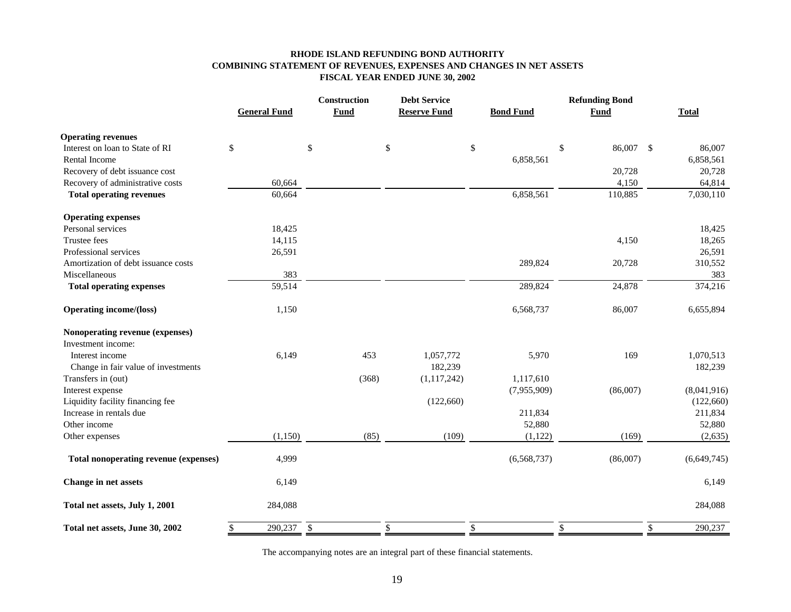#### **RHODE ISLAND REFUNDING BOND AUTHORITY COMBINING STATEMENT OF REVENUES, EXPENSES AND CHANGES IN NET ASSETS FISCAL YEAR ENDED JUNE 30, 2002**

|                                              |                               | Construction | <b>Debt Service</b> |                          |                 |                                     |
|----------------------------------------------|-------------------------------|--------------|---------------------|--------------------------|-----------------|-------------------------------------|
|                                              | <b>General Fund</b>           | <b>Fund</b>  | <b>Reserve Fund</b> | <b>Bond Fund</b>         | <b>Fund</b>     | <b>Total</b>                        |
| <b>Operating revenues</b>                    |                               |              |                     |                          |                 |                                     |
| Interest on loan to State of RI              | \$                            | \$           | \$                  | \$                       | \$<br>86,007 \$ | 86,007                              |
| Rental Income                                |                               |              |                     | 6,858,561                |                 | 6,858,561                           |
| Recovery of debt issuance cost               |                               |              |                     |                          | 20,728          | 20,728                              |
| Recovery of administrative costs             | 60,664                        |              |                     |                          | 4,150           | 64,814                              |
| <b>Total operating revenues</b>              | 60,664                        |              |                     | 6,858,561                | 110,885         | 7,030,110                           |
| <b>Operating expenses</b>                    |                               |              |                     |                          |                 |                                     |
| Personal services                            | 18,425                        |              |                     |                          |                 | 18,425                              |
| Trustee fees                                 | 14,115                        |              |                     |                          | 4,150           | 18,265                              |
| Professional services                        | 26,591                        |              |                     |                          |                 | 26,591                              |
| Amortization of debt issuance costs          |                               |              |                     | 289,824                  | 20,728          | 310,552                             |
| Miscellaneous                                | 383                           |              |                     |                          |                 | 383                                 |
| <b>Total operating expenses</b>              | 59,514                        |              |                     | 289,824                  | 24,878          | 374,216                             |
| <b>Operating income/(loss)</b>               | 1,150                         |              |                     | 6,568,737                | 86,007          | 6,655,894                           |
| Nonoperating revenue (expenses)              |                               |              |                     |                          |                 |                                     |
| Investment income:                           |                               |              |                     |                          |                 |                                     |
| Interest income                              | 6,149                         | 453          | 1,057,772           | 5,970                    | 169             | 1,070,513                           |
| Change in fair value of investments          |                               |              | 182,239             |                          |                 | 182,239                             |
| Transfers in (out)                           |                               | (368)        | (1, 117, 242)       | 1,117,610                |                 |                                     |
| Interest expense                             |                               |              |                     | (7,955,909)              | (86,007)        | (8,041,916)                         |
| Liquidity facility financing fee             |                               |              | (122, 660)          |                          |                 | (122, 660)                          |
| Increase in rentals due                      |                               |              |                     | 211,834                  |                 | 211,834                             |
| Other income                                 |                               |              |                     | 52,880                   |                 | 52,880                              |
| Other expenses                               | (1, 150)                      | (85)         | (109)               | (1,122)                  | (169)           | (2,635)                             |
| <b>Total nonoperating revenue (expenses)</b> | 4,999                         |              |                     | (6,568,737)              | (86,007)        | (6,649,745)                         |
| Change in net assets                         | 6,149                         |              |                     |                          |                 | 6,149                               |
| Total net assets, July 1, 2001               | 284,088                       |              |                     |                          |                 | 284,088                             |
| Total net assets, June 30, 2002              | $\overline{290,237}$ \$<br>\$ |              | \$                  | $\overline{\mathcal{S}}$ | $\overline{\$}$ | $\overline{\mathcal{L}}$<br>290,237 |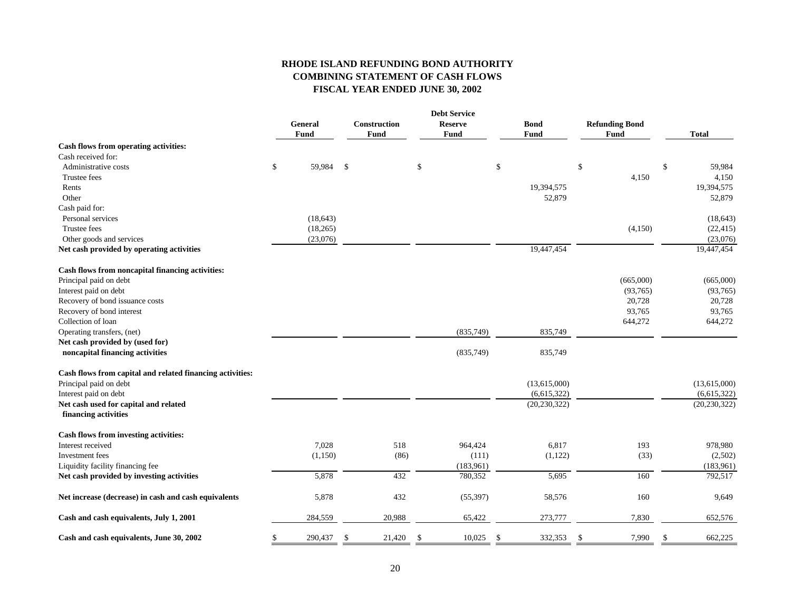#### **RHODE ISLAND REFUNDING BOND AUTHORITY COMBINING STATEMENT OF CASH FLOWS FISCAL YEAR ENDED JUNE 30, 2002**

|                                                           |                |      |                     |     | <b>Debt Service</b> |                |                       |               |                |
|-----------------------------------------------------------|----------------|------|---------------------|-----|---------------------|----------------|-----------------------|---------------|----------------|
|                                                           | <b>General</b> |      | <b>Construction</b> |     | <b>Reserve</b>      | <b>Bond</b>    | <b>Refunding Bond</b> |               |                |
|                                                           | Fund           |      | Fund                |     | Fund                | Fund           | Fund                  |               | <b>Total</b>   |
| Cash flows from operating activities:                     |                |      |                     |     |                     |                |                       |               |                |
| Cash received for:                                        |                |      |                     |     |                     |                |                       |               |                |
| Administrative costs                                      | \$<br>59,984   | - \$ |                     | \$  |                     | \$             | \$                    | \$            | 59,984         |
| Trustee fees                                              |                |      |                     |     |                     |                | 4,150                 |               | 4,150          |
| Rents                                                     |                |      |                     |     |                     | 19,394,575     |                       |               | 19,394,575     |
| Other                                                     |                |      |                     |     |                     | 52,879         |                       |               | 52,879         |
| Cash paid for:                                            |                |      |                     |     |                     |                |                       |               |                |
| Personal services                                         | (18, 643)      |      |                     |     |                     |                |                       |               | (18, 643)      |
| Trustee fees                                              | (18, 265)      |      |                     |     |                     |                | (4,150)               |               | (22, 415)      |
| Other goods and services                                  | (23,076)       |      |                     |     |                     |                |                       |               | (23,076)       |
| Net cash provided by operating activities                 |                |      |                     |     |                     | 19,447,454     |                       |               | 19,447,454     |
| Cash flows from noncapital financing activities:          |                |      |                     |     |                     |                |                       |               |                |
| Principal paid on debt                                    |                |      |                     |     |                     |                | (665,000)             |               | (665,000)      |
| Interest paid on debt                                     |                |      |                     |     |                     |                | (93,765)              |               | (93,765)       |
| Recovery of bond issuance costs                           |                |      |                     |     |                     |                | 20,728                |               | 20,728         |
| Recovery of bond interest                                 |                |      |                     |     |                     |                | 93,765                |               | 93,765         |
| Collection of loan                                        |                |      |                     |     |                     |                | 644,272               |               | 644,272        |
| Operating transfers, (net)                                |                |      |                     |     | (835,749)           | 835,749        |                       |               |                |
| Net cash provided by (used for)                           |                |      |                     |     |                     |                |                       |               |                |
| noncapital financing activities                           |                |      |                     |     | (835,749)           | 835,749        |                       |               |                |
| Cash flows from capital and related financing activities: |                |      |                     |     |                     |                |                       |               |                |
| Principal paid on debt                                    |                |      |                     |     |                     | (13,615,000)   |                       |               | (13,615,000)   |
| Interest paid on debt                                     |                |      |                     |     |                     | (6,615,322)    |                       |               | (6,615,322)    |
| Net cash used for capital and related                     |                |      |                     |     |                     | (20, 230, 322) |                       |               | (20, 230, 322) |
| financing activities                                      |                |      |                     |     |                     |                |                       |               |                |
| Cash flows from investing activities:                     |                |      |                     |     |                     |                |                       |               |                |
| Interest received                                         | 7,028          |      | 518                 |     | 964,424             | 6,817          | 193                   |               | 978,980        |
| Investment fees                                           | (1,150)        |      | (86)                |     | (111)               | (1,122)        | (33)                  |               | (2,502)        |
| Liquidity facility financing fee                          |                |      |                     |     | (183,961)           |                |                       |               | (183,961)      |
| Net cash provided by investing activities                 | 5,878          |      | 432                 |     | 780,352             | 5,695          | 160                   |               | 792,517        |
| Net increase (decrease) in cash and cash equivalents      | 5,878          |      | 432                 |     | (55, 397)           | 58,576         | 160                   |               | 9,649          |
| Cash and cash equivalents, July 1, 2001                   | 284,559        |      | 20,988              |     | 65,422              | 273,777        | 7,830                 |               | 652,576        |
| Cash and cash equivalents, June 30, 2002                  | \$<br>290,437  | \$   | 21,420              | -\$ | 10,025              | \$<br>332,353  | -\$<br>7,990          | <sup>\$</sup> | 662,225        |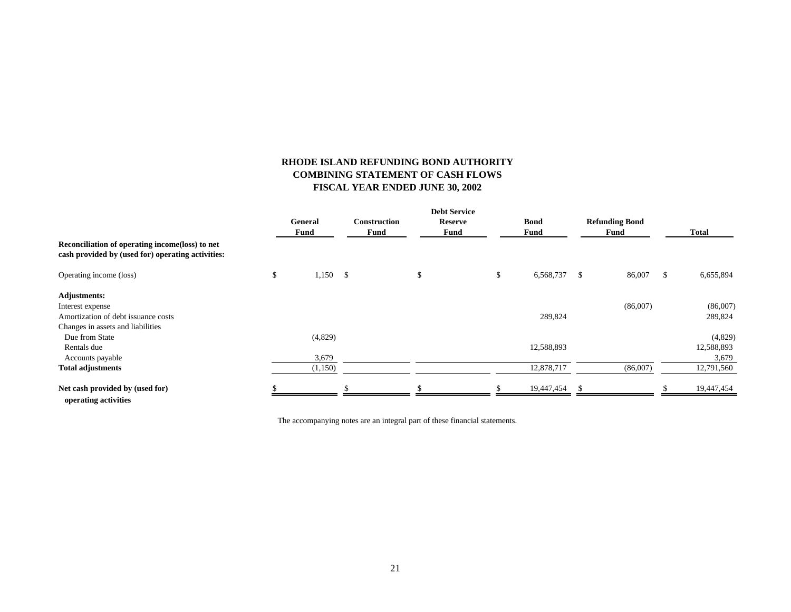#### **RHODE ISLAND REFUNDING BOND AUTHORITY COMBINING STATEMENT OF CASH FLOWS FISCAL YEAR ENDED JUNE 30, 2002**

| Reconciliation of operating income (loss) to net<br>cash provided by (used for) operating activities: | General<br>Fund |            |             | <b>Construction</b> |      | <b>Reserve</b> |      | <b>Bond</b> |              | <b>Refunding Bond</b> |               |            |  |
|-------------------------------------------------------------------------------------------------------|-----------------|------------|-------------|---------------------|------|----------------|------|-------------|--------------|-----------------------|---------------|------------|--|
|                                                                                                       |                 |            | <b>Fund</b> | Fund                | Fund |                | Fund |             | <b>Total</b> |                       |               |            |  |
|                                                                                                       |                 |            |             |                     |      |                |      |             |              |                       |               |            |  |
| Operating income (loss)                                                                               | \$              | $1,150$ \$ |             |                     | \$   |                | \$   | 6,568,737   | $\mathbb{S}$ | 86,007                | <sup>\$</sup> | 6,655,894  |  |
| <b>Adjustments:</b>                                                                                   |                 |            |             |                     |      |                |      |             |              |                       |               |            |  |
| Interest expense                                                                                      |                 |            |             |                     |      |                |      |             |              | (86,007)              |               | (86,007)   |  |
| Amortization of debt issuance costs                                                                   |                 |            |             |                     |      |                |      | 289,824     |              |                       |               | 289,824    |  |
| Changes in assets and liabilities                                                                     |                 |            |             |                     |      |                |      |             |              |                       |               |            |  |
| Due from State                                                                                        |                 | (4,829)    |             |                     |      |                |      |             |              |                       |               | (4,829)    |  |
| Rentals due                                                                                           |                 |            |             |                     |      |                |      | 12,588,893  |              |                       |               | 12,588,893 |  |
| Accounts payable                                                                                      |                 | 3,679      |             |                     |      |                |      |             |              |                       |               | 3,679      |  |
| <b>Total adjustments</b>                                                                              |                 | (1,150)    |             |                     |      |                |      | 12,878,717  |              | (86,007)              |               | 12,791,560 |  |
| Net cash provided by (used for)                                                                       |                 |            |             |                     |      |                |      | 19,447,454  | -\$          |                       |               | 19,447,454 |  |
| operating activities                                                                                  |                 |            |             |                     |      |                |      |             |              |                       |               |            |  |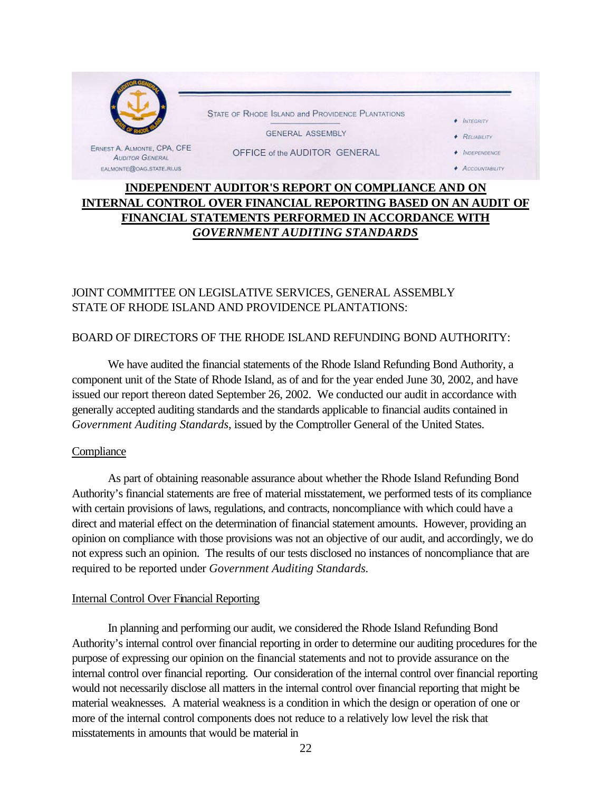

# **INDEPENDENT AUDITOR'S REPORT ON COMPLIANCE AND ON INTERNAL CONTROL OVER FINANCIAL REPORTING BASED ON AN AUDIT OF FINANCIAL STATEMENTS PERFORMED IN ACCORDANCE WITH** *GOVERNMENT AUDITING STANDARDS*

# JOINT COMMITTEE ON LEGISLATIVE SERVICES, GENERAL ASSEMBLY STATE OF RHODE ISLAND AND PROVIDENCE PLANTATIONS:

# BOARD OF DIRECTORS OF THE RHODE ISLAND REFUNDING BOND AUTHORITY:

We have audited the financial statements of the Rhode Island Refunding Bond Authority, a component unit of the State of Rhode Island, as of and for the year ended June 30, 2002, and have issued our report thereon dated September 26, 2002. We conducted our audit in accordance with generally accepted auditing standards and the standards applicable to financial audits contained in *Government Auditing Standards*, issued by the Comptroller General of the United States.

## **Compliance**

As part of obtaining reasonable assurance about whether the Rhode Island Refunding Bond Authority's financial statements are free of material misstatement, we performed tests of its compliance with certain provisions of laws, regulations, and contracts, noncompliance with which could have a direct and material effect on the determination of financial statement amounts. However, providing an opinion on compliance with those provisions was not an objective of our audit, and accordingly, we do not express such an opinion. The results of our tests disclosed no instances of noncompliance that are required to be reported under *Government Auditing Standards.*

#### Internal Control Over Financial Reporting

In planning and performing our audit, we considered the Rhode Island Refunding Bond Authority's internal control over financial reporting in order to determine our auditing procedures for the purpose of expressing our opinion on the financial statements and not to provide assurance on the internal control over financial reporting. Our consideration of the internal control over financial reporting would not necessarily disclose all matters in the internal control over financial reporting that might be material weaknesses. A material weakness is a condition in which the design or operation of one or more of the internal control components does not reduce to a relatively low level the risk that misstatements in amounts that would be material in